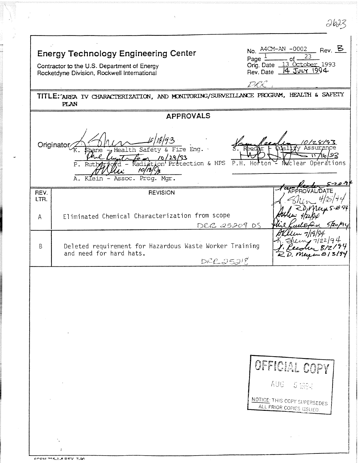|           | <b>Energy Technology Engineering Center</b><br>Page $\ddot{z}$<br>Contractor to the U.S. Department of Energy<br>Rocketdyne Division, Rockwell International | $\_$ Rev. $\_$<br>No. $A4CM-AN -0002$<br>23<br>of -<br>Orig. Date 13 October 1993<br>14 JULY 1994<br>Rev. Date _ |
|-----------|--------------------------------------------------------------------------------------------------------------------------------------------------------------|------------------------------------------------------------------------------------------------------------------|
|           | TITLE: AREA IV CHARACTERIZATION, AND MONITORING/SURVEILLANCE PROGRAM, HEALTH & SAFETY<br><b>PLAN</b>                                                         |                                                                                                                  |
|           | <b>APPROVALS</b>                                                                                                                                             |                                                                                                                  |
|           | Originator<br>Fire Eng.<br>Health Safety &<br>10/29/93<br>P.H.<br>on Protection & HPS<br>P. Rut<br>Radi<br>10<br>A. Klein - Assoc. Prog. Mgr.                | । २३<br>Operations<br>Horton<br>ear<br>Nuc 1<br>÷.                                                               |
| REV.      | <b>REVISION</b>                                                                                                                                              |                                                                                                                  |
| LTR.<br>A | Eliminated Chemical Characterization from scope<br>DRR 25209 DS                                                                                              | 5/20,                                                                                                            |
| B         | Deleted requirement for Hazardous Waste Worker Training<br>and need for hard hats.<br>DRLSJS                                                                 | 194                                                                                                              |
|           |                                                                                                                                                              | OFFICIAL COPY<br>AUG 5 1994<br>NOTICE: THIS COPY SUPERSEDES<br>ALL PRIOR COPIES ISSUED.                          |
|           |                                                                                                                                                              |                                                                                                                  |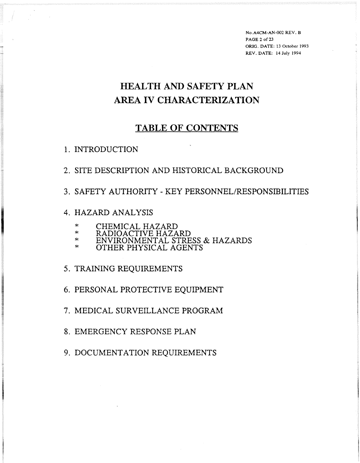**No.A4CM-AN-002 REV. B PAGE 2 of** 23 ORE. **DATE: 13 October 1993 REV. DATE: 14 July 1994** 

# **HEALTH AND SAFETY PLAN AREA IV CHARACTERIZATION**

### **TABLE OF CONTENTS**

- 1. INTRODUCTION
- 2. SITE DESCRIPTION AND HISTORICAL BACKGROUND
- **3.** SAFETY AUTHORITY KEY **PERSONNEL/RESPONSIBILITIES**

#### 4. HAZARD ANALYSIS

- 
- \* CHEMICAL HAZARD<br>\* RADIOACTIVE HAZARD<br>\* ENVIRONMENTAL STRE
- \* ENVIRONMENTAL STRESS & HAZARDS OTHER PHYSICAL AGENTS
- 

#### 5. TRAINING REQUIREMENTS

- 6. PERSONAL PROTECTIVE EQUIPMENT
- 7. MEDICAL SURVEILLANCE PROGRAM
- 8. EMERGENCY RESPONSE PLAN
- 9. DOCUMENTATION REQUIREMENTS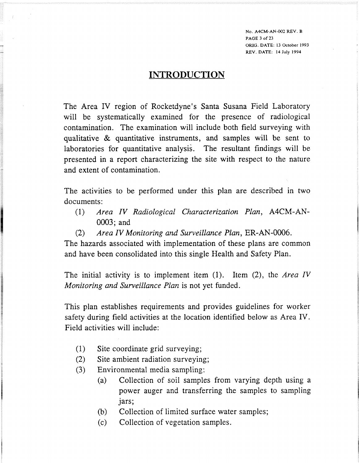**No. A4CM-AN-002 REV. B PAGE 3 of 23 ORIG. DATE: 13 October 1993 REV. DATE: 14 July 1994** 

#### **INTRODUCTION**

The Area IV region of Rocketdyne's Santa Susana Field Laboratory will be systematically examined for the presence of radiological contamination. The examination will include both field surveying with qualitative & quantitative instruments, and samples will be sent to laboratories for quantitative analysis. The resultant findings will be presented in a report characterizing the site with respect to the nature and extent of contamination.

The activities to be performed under this plan are described in two documents:

- (1) *Area IV Radiological Characterization Plan,* A4CM-AN-0003; and
- (2) *Area IV Monitoring and Surveillance Plan,* ER-AN-0006.

The hazards associated with implementation of these plans are common and have been consolidated into this single Health and Safety Plan.

The initial activity is to implement item (1). Item (2), the *Area IV Monitoring and Surveillance Plan* is not yet funded.

This plan establishes requirements and provides guidelines for worker safety during field activities at the location identified below as Area IV. Field activities will include:

- (1) Site coordinate grid surveying;
- (2) Site ambient radiation surveying;
- (3) Environmental media sampling:
	- (a) Collection of soil samples from varying depth using a power auger and transferring the samples to sampling jars;
	- (b) Collection of limited surface water samples;
	- (c) Collection of vegetation samples.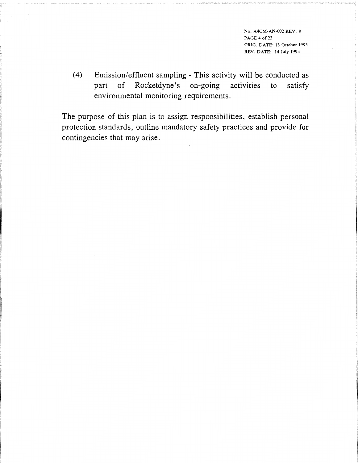**NO. A4CM-AN-002 REV. B PAGE 4 of** 23 **ORIG. DATE: 13 October 1993 REV. DATE: 14 July 1994** 

(4) Emission/effluent sampling - This activity will be conducted as part of Rocketdyne's on-going activities to satisfy environmental monitoring requirements.

The purpose of this plan is to assign responsibilities, establish personal protection standards, outline mandatory safety practices and provide for contingencies that may arise.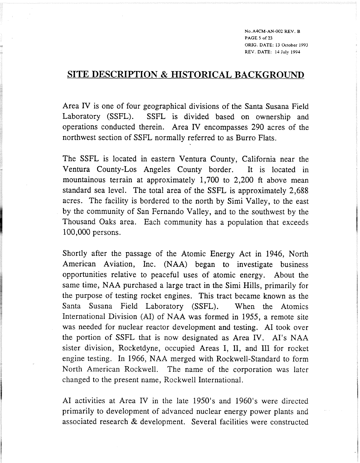**No.A4CM-AN-002 REV. B PAGE 5 of 23 ORIG. DATE: 13 October 1993 REV. DATE: 14 July 1994** 

### **SITE DESCRIPTION & HISTORICAL BACKGROUND**

Area IV is one of four geographical divisions of the Santa Susana Field Laboratory (SSFL). SSFL is divided based on ownership and operations conducted therein. Area JY encompasses 290 acres of the northwest section of SSFL normally referred to as Burro Flats.

The SSFL is located in eastern Ventura County, California near the Ventura County-Los Angeles County border. It is located in mountainous terrain at approximately 1,700 to 2,200 ft above mean standard sea level. The total area of the SSFL is approximately 2,688 acres. The facility is bordered to the north by Simi Valley, to the east by the community of San Fernando Valley, and to the southwest by the Thousand Oaks area. Each community has a population that exceeds 100,000 persons.

Shortly after the passage of the Atomic Energy Act in 1946, North American Aviation, Inc. (NAA) began to investigate business opportunities relative to peaceful uses of atomic energy. About the same time, NAA purchased a large tract in the Simi Hills, primarily for the purpose of testing rocket engines. This tract became known as the Santa Susana Field Laboratory (SSFL). When the Atomics International Division (AI) of NAA was formed in 1955, a remote site was needed for nuclear reactor development and testing. A1 took over the portion of SSFL that is now designated as Area IV. AI's NAA sister division, Rocketdyne, occupied Areas I, 11, and III for rocket engine testing. In 1966, NAA merged with Rockwell-Standard to form North American Rockwell. The name of the corporation was later changed to the present name, Rockwell International.

A1 activities at Area IV in the late 1950's and 1960's were directed primarily to development of advanced nuclear energy power plants and associated research & development. Several facilities were constructed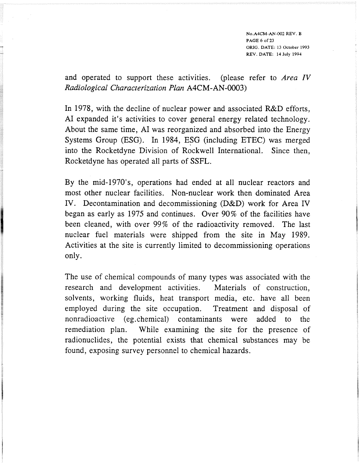*No.A4CM-AN-002 REV. B PAGE 6 of* 23 *ORIG. DATE: 13 October 1993 REV. DATE: 14* **July** *1994* 

and operated to support these activities. (please refer to *Area IV Radiological Characterization Plan A4CM-AN-0003)* 

In 1978, with the decline of nuclear power and associated R&D efforts, A1 expanded it's activities to cover general energy related technology. About the same time, A1 was reorganized and absorbed into the Energy Systems Group (ESG). In 1984, ESG (including ETEC) was merged into the Rocketdyne Division of Rockwell International. Since then, Rocketdyne has operated all parts of SSFL.

By the mid-1970's, operations had ended at all nuclear reactors and most other nuclear facilities. Non-nuclear work then dominated Area N. Decontamination and decommissioning (D&D) work for Area IV began as early as 1975 and continues. Over 90% of the facilities have been cleaned, with over 99% of the radioactivity removed. The last nuclear fuel materials were shipped from the site in May 1989. Activities at the site is currently limited to decommissioning operations only.

The use of chemical compounds of many types was associated with the research and development activities. Materials of construction, solvents, working fluids, heat transport media, etc. have all been employed during the site occupation. Treatment and disposal of nonradioactive (eg.chemica1) contaminants were added to the remediation plan. While examining the site for the presence of radionuclides, the potential exists that chemical substances may be found, exposing survey personnel to chemical hazards.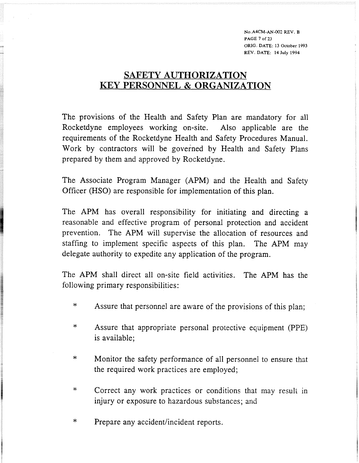**No.A4CM-AN-002 REV. B PAGE 7 of ORIG. DATE: 13 October 1993 REV. DATE: 14 July 1994** 

# **SAFETY AUTHORIZATION EXY PERSONNEL** & **ORGANIZATION**

The provisions of the Health and Safety Plan are mandatory for all Rocketdyne employees working on-site. Also applicable are the requirements of the Rocketdyne Health and Safety Procedures Manual. Work by contractors will be governed by Health and Safety Plans prepared by them and approved by Rocketdyne.

The Associate Program Manager (APM) and the Health and Safety Officer (HSO) are responsible for implementation of this plan.

The APM has overall responsibility for initiating and directing a reasonable and effective program of personal protection and accident prevention. The APM will supervise the allocation of resources and staffing to implement specific aspects of this plan. The APM may delegate authority to expedite any application of the program.

The APM shall direct all on-site field activities. The APM has the following primary responsibilities:

- \* Assure that personnel are aware of the provisions of this plan;
- \* Assure that appropriate personal protective equipment (PPE) is available;
- \* Monitor the safety performance of all personnel to ensure that the required work practices are employed;
- \* Correct any work practices or conditions that may result in injury or exposure to hazardous substances; and
- \* Prepare any accident/incident reports.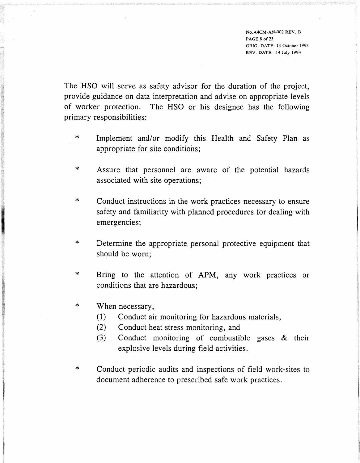**No.A4CM-AN-002 REV. B PAGE 8 of23 ORIG. DATE: 13 October 1993 REV. DATE: 14 July 1994** 

The HSO will serve as safety advisor for the duration of the project, provide guidance on data interpretation and advise on appropriate levels of worker protection. The HSO or his designee has the following primary responsibilities:

- $\star$ Implement and/or modify this Health and Safety Plan as appropriate for site conditions;
- $\ast$ Assure that personnel are aware of the potential hazards associated with site operations;
- $\ast$ Conduct instructions in the work practices necessary to ensure safety and familiarity with planned procedures for dealing with emergencies;
- $\ast$ Determine the appropriate personal protective equipment that should be worn;
- Bring to the attention of APM, any work practices or  $\ast$ conditions that are hazardous;
- $\star$ When necessary,
	- (1) Conduct air monitoring for hazardous materials,
	- *(2)* Conduct heat stress monitoring, and
	- (3) Conduct monitoring of combustible gases & their explosive levels during field activities.
- $\ast$ Conduct periodic audits and inspections of field work-sites to document adherence to prescribed safe work practices.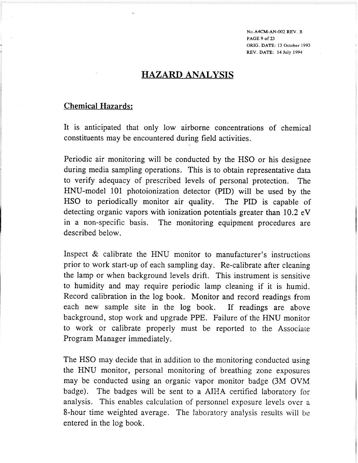**No.A4CM-AN-002 REV. B PAGE 9 of 23 ORIG. DATE: 13 October 1993 REV. DATE: 14 July 1994** 

# **HAZARD ANALYSIS**

#### **Chemical Hazards:**

It is anticipated that only low airborne concentrations of chemical constituents may be encountered during field activities.

Periodic air monitoring will be conducted by the HSO or his designee during media sampling operations. This is to obtain representative data to verify adequacy of prescribed levels of personal protection. The HNU-model 101 photoionization detector (PID) will be used by the HSO to periodically monitor air quality. The PID is capable of detecting organic vapors with ionization potentials greater than 10.2 eV in a non-specific basis. The monitoring equipment procedures are described below.

Inspect & calibrate the HNU monitor to manufacturer's instructions prior to work start-up of each sampling day. Re-calibrate after cleaning the lamp or when background levels drift. This instrument is sensitive to humidity and may require periodic lamp cleaning if it is humid. Record calibration in the log book. Monitor and record readings from each new sample site in the log book. If readings are above background, stop work and upgrade PPE. Failure of the MNU monitor to work or calibrate properly must be reported to the Associate Program Manager immediately.

The HSO may decide that in addition to the monitoring conducted using the HNU monitor, personal monitoring of breathing zone exposures may be conducted using an organic vapor monitor badge (3M OVM badge). The badges will be sent to a **ATHA** certified laboratory for analysis. This enables calculation of personnel exposure levels over a 8-hour time weighted average. The laboratory analysis results will be entered in the log book.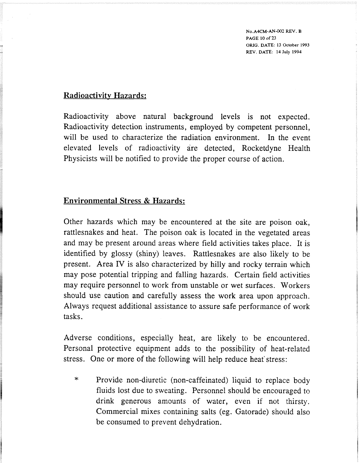**No.A4CM-AN-002 REV. B PAGE 10 of** 23 **ORIG. DATE: 13 October 1993 REV. DATE: 14 July 1994** 

#### **Radioactivitv Hazards:**

Radioactivity above natural background levels is not expected. Radioactivity detection instruments, employed by competent personnel, will be used to characterize the radiation environment. In the event elevated levels of radioactivity are detected, Rocketdyne Health Physicists will be notified to provide the proper course of action.

#### **Environmental Stress** & **Hazards:**

Other hazards which may be encountered at the site are poison oak, rattlesnakes and heat. The poison oak is located in the vegetated areas and may be present around areas where field activities takes place. It is identified by glossy (shiny) leaves. Rattlesnakes are also likely to be present. Area IV is also characterized by hilly and rocky terrain which may pose potential tripping and falling hazards. Certain field activities may require personnel to work from unstable or wet surfaces. Workers should use caution and carefully assess the work area upon approach. Always request additional assistance to assure safe performance of work tasks.

Adverse conditions, especially heat, are likely to be encountered. Personal protective equipment adds to the possibility of heat-related stress. One or more of the following will help reduce heat'stress:

\* Provide non-diuretic (non-caffeinated) liquid to replace body fluids lost due to sweating. Personnel should be encouraged to drink generous amounts of water, even if not thirsty. Commercial mixes containing salts (eg. Gatorade) should also be consumed to prevent dehydration.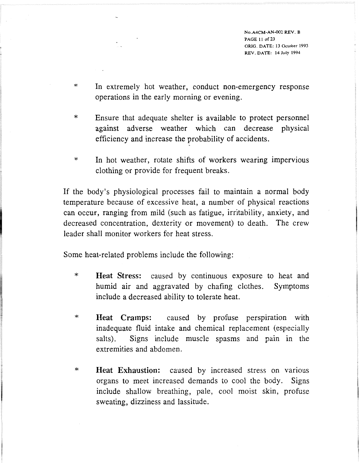**No.A4CM-AN-002 REV. B PAGE 11 of** 23 **ORIG. DATE: 13 October 1993 REV. DATE: 14 July 1994** 

- \* In extremely hot weather, conduct non-emergency response operations in the early morning or evening.
- \* Ensure that adequate shelter is available to protect personnel against adverse weather which can decrease physical efficiency and increase the probability of accidents.
- \* In hot weather, rotate shifts of workers wearing impervious clothing or provide for frequent breaks.

If the body's physiological processes fail to maintain a normal body temperature because of excessive heat, a number of physical reactions can occur, ranging from mild (such as fatigue, irritability, anxiety, and decreased concentration, dexterity or movement) to death. The crew leader shall monitor workers for heat stress.

Some heat-related problems include the following:

- \* **Heat Stress:** caused by continuous exposure to heat and humid air and aggravated by chafing clothes. Symptoms include a decreased ability to tolerate heat.
- \* **Heat Cramps:** caused by profuse perspiration with inadequate fluid intake and chemical replacement (especially salts). Signs include muscle spasms and pain in the extremities and abdomen.
- \* **Heat Exhaustion:** caused by increased stress on varlous organs to meet increased demands to cool the body. Signs include shallow breathing, pale, cool moist skin, profuse sweating, dizziness and lassitude.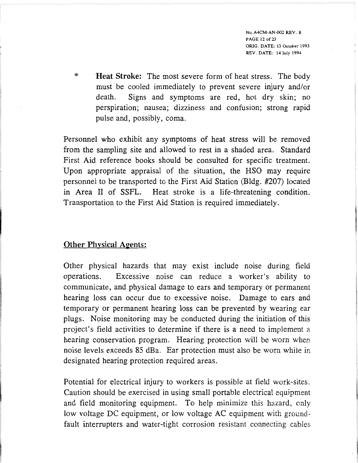**No.A4CM-AN-002 REV. B PAGE 12 of 23 ORIG. DATE: 13 October 1993 REV. DATE: 14 July 1994** 

\* **Heat Stroke:** The most severe form of heat stress. The body must be cooled immediately to prevent severe injury and/or death. Signs and symptoms are red, hot dry skin; no perspiration; nausea; dizziness and confusion; strong rapid pulse and, possibly, coma.

Personnel who exhibit any symptoms of heat stress will be removed from the sampling site and allowed 'to rest in a shaded area. Standard First Aid reference books should be consulted for specific treatment. Upon appropriate appraisal of the situation, the HSO may require personnel to be transported to the First Aid Station (Bldg. #207) located in Area I1 of SSFL. Heat stroke is a life-threatening condition. Transportation to the First Aid Station is required immediately.

#### **Other Phvsical Agents:**

Other physical hazards that may exist include noise during field operations. Excessive noise can reduce a worker's ability to communicate, and physical damage to ears and temporary or permanent hearing loss can occur due to excessive noise. Damage to ears and temporary or permanent hearing loss can be prevented by wearing ear plugs. Noise monitoring may be conducted during the initiation of this project's field activities to determine if there is a need to implement a hearing conservation program. Hearing protection will be worn when noise levels exceeds 85 dBa. Ear protection must also be worn whiie in designated hearing protection required areas.

Potential for electrical injury to workers is possible at field work-sites. Caution should be exercised in using small portable electrical equipment and field monitoring equipment. To help minimize this hazard, cnly low voltage DC equipment, or low voltage AC equipment with groundfault interrupters and water-tight corrosion resistant connecting cables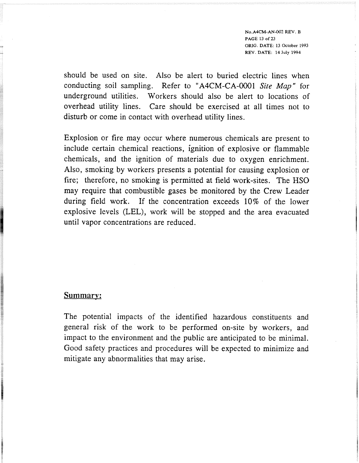**No.A4CM-AN-002 REV. B PAGE 13 of** *23*  **ORIG. DATE: 13 October 1993 REV. DATE: 14 July 1994** 

should be used on site. Also be alert to buried electric lines when conducting soil sampling. Refer to "A4CM-CA-0001 **Site** Map " for underground utilities. Workers should also be alert to locations of overhead utility lines. Care should be exercised at all times not to disturb or come in contact with overhead utility lines.

Explosion or fire may occur where numerous chemicals are present to include certain chemical reactions, ignition of explosive or flammable chemicals, and the ignition of materials due to oxygen enrichment. Also, smoking by workers presents a potential for causing explosion or fire; therefore, no smoking is permitted at field work-sites. The HSO may require that combustible gases be monitored by the Crew Leader during field work. If the concentration exceeds 10% of the lower explosive levels (LEL), work will be stopped and the area evacuated until vapor concentrations are reduced.

#### Summary:

The potential impacts of the identified hazardous constituents and general risk of the work to be performed on-site by workers, and impact to the environment and the public are anticipated to be minimal. Good safety practices and procedures will be expected to minimize and mitigate any abnormalities that may arise.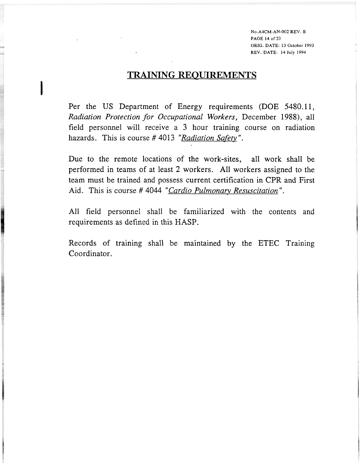**No.A4CM-AN-002 REV. B PAGE 14 of 23 ORIG. DATE: 13 October 1993 REV. DATE: 14 July 1994** 

### **TRAINING REQUIREMENTS**

Per the US Department of Energy requirements (DOE **5480.11,**  *Radiation Protection for Occupational Workers, December 1988), all* field personnel will receive a **3** hour training course on radiation hazards. This is course #4013 "Radiation Safety".

Due to the remote locations of the work-sites, all work shall be performed in teams of at least 2 workers. All workers assigned to the team must be trained and possess current certification in CPR and First Aid. This is course # **4044** *"Cardio Pulmonary Resuscitation".* 

All field personnel shall be familiarized with the contents and requirements as defined in this HASP.

Records of training shall be maintained by the ETEC Training Coordinator.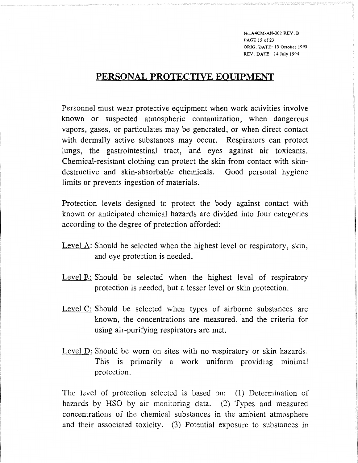**No.A4CM-AN-002 REV. B PAGE 15 of 23 ORIG. DATE: 13 October 1993 REV. DATE: 14 July 1994** 

### **PERSONAL PROTECTIVE EOUIPMENT**

Personnel must wear protective equipment when work activities involve known or suspected atmospheric contamination, when dangerous vapors, gases, or particulates may be generated, or when direct contact with dermally active substances may occur. Respirators can protect lungs, the gastrointestinal tract, and eyes against air toxicants. Chemical-resistant clothing can protect the skin from contact with skindestructive and skin-absorbable chemicals. Good personal hygiene limits or prevents ingestion of materials.

Protection levels designed to protect the body against contact with known or anticipated chemical hazards are divided into four categories according to the degree of protection afforded:

- Level A: Should be selected when the highest level or respiratory, skin, and eye protection is needed.
- Level B: Should be selected when the highest level of respiratory protection is needed, but a lesser level or skin protection.
- Level C: Should be selected when types of airborne substances are known, the concentrations are measured, and the criteria for using air-purifying respirators are met.
- Level D: Should be worn on sites with no respiratory or skin hazards. This is primarily a work uniform providing minimal protection.

The level of protection selected is based on: (1) Determination of hazards by HSO by air monitoring data. (2) Types and measured concentrations of the chemical substances in the ambient atmosphere and their associated toxicity. (3) Potential exposure to substances in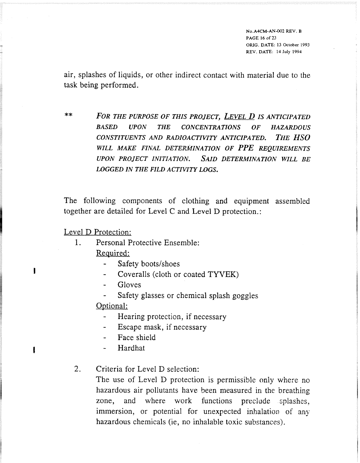**No.A4CM-AN-002** REW. **B PAGE 16 of** 23 **ORIG. DATE: 13 October 1993 REV. DATE: 14 July 1994** 

air, splashes of liquids, or other indirect contact with material due to the task being performed.

\*\* **FOR THE PURPOSE OF THIS PROJECT, LEVEL D IS ANTICIPATED** *BASED UPON THE CONCENTRATIONS OF HAZARDOUS CONSTITUENTS AND RADZOACTIVITY ANTICIPA TED.* **THE:** *HSO*  WILL MAKE FINAL DETERMINATION OF PPE REQUIREMENTS *UPON PROJECT INITIA TION. SAID DETERMINATION WILL BE*  **LOGGED IN THE FILD ACTIVITY LOGS.** 

The following components of clothing and equipment assembled together are detailed for Level C and Level D protection.:

Level D Protection:

- 1. Personal Protective Ensemble: Required:
	- Safety boots/shoes
- <sup>I</sup> Coveralls (cloth or coated TYVEK)
	- **Gloves**
	- Safety glasses or chemical splash goggles

Optional:

- Hearing protection, if necessary
- Escape mask, if necessary
- Face shield
- **<sup>I</sup>** Hardhat

2. Criteria for Level D selection:

The use of Level D protection is permissible only where no hazardous air pollutants have been measured in the breathing zone, and where work functions preclude splashes, immersion, or potential for unexpected inhalation of any hazardous chemicals (ie, no inhalable toxic substances).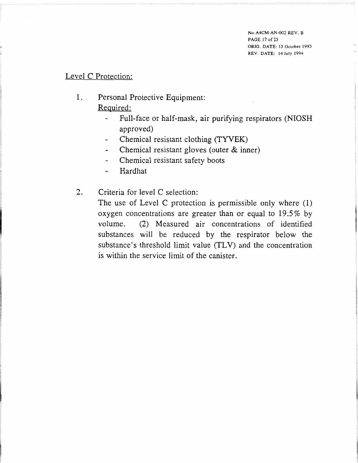#### Level C Protection:

- 1. Personal Protective Equipment: Required:
	- Full-face or half-mask, air purifying respirators (NIOSH approved)
	- Chemical resistant clothing (TYVEK)
	- Chemical resistant gloves (outer & inner)
	- Chemical resistant safety boots
	- Hardhat
- 2. Criteria for level C selection:

The use of Level C protection is permissible only where (1) oxygen concentrations are greater than or equal to 19.5% by volume. (2) Measured air concentrations of identified substances will be reduced by the respirator below the substance's threshold limit value (TLV) and the concentration is within the service limit of the canister.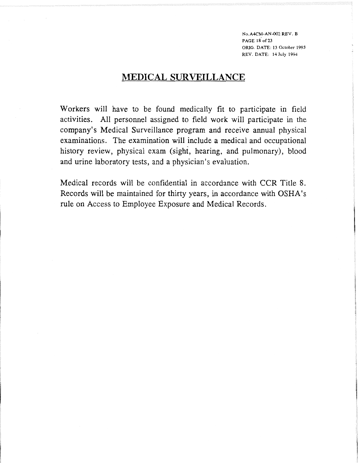**No.A4CM-AN-002 REV. B PAGE 18'of 23**  ORIG. **DATE: 13 October 1993 REV. DATE: 14 July 1994** 

### **MEDICAL SURVEILLANCE**

Workers will have to be found medically fit to participate in field activities. A11 personnel assigned to field work will participate in the company's Medical Surveillance program and receive annual physical examinations. The examination will include a medical and occupational history review, physical exam (sight, hearing, and pulmonary), blood and urine laboratory tests, and a physician's evaluation.

Medical records will be confidential in accordance with CCR Title 8. Records will be maintained for thirty years, in accordance with OSHA's rule on Access to Employee Exposure and Medical Records.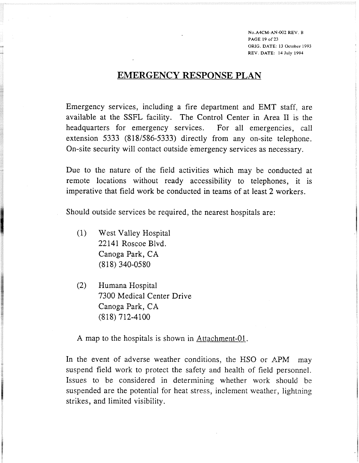**No.A4CM-AN-002 REV. B PAGE 19 of 23 ORIG. DATE: 13 October 1993 REV. DATE: 14 July 1994** 

### **EMERGENCY RESPONSE PLAN**

Emergency services, including a fire department and EMT staff, are available at the SSFL facility. The Control Center in Area I1 is the headquarters for emergency services. For all emergencies, call extension 5333 (818/586-5333) directly from any on-site telephone. On-site security will contact outside emergency services as necessary.

Due to the nature of the field activities which may be conducted at remote locations without ready accessibility to telephones, it is imperative that field work be conducted in teams of at least **2** workers.

Should outside services be required, the nearest hospitals are:

- (1) West Valley Hospital **22141** Roscoe Blvd. Canoga Park, CA **(81 8) 340'-0580**
- **(2)** Humana Hospital **7300** Medical Center Drive Canoga Park, CA **(818) 712-4100**

A map to the hospitals is shown in  $\Delta$ ttachment-01.

In the event of adverse weather conditions, the HSO or APM may suspend field work to protect the safety and health of field personnel. Issues to be considered in determining whether work should be suspended are the potential for heat stress, inclement weather, lightning strikes, and limited visibility.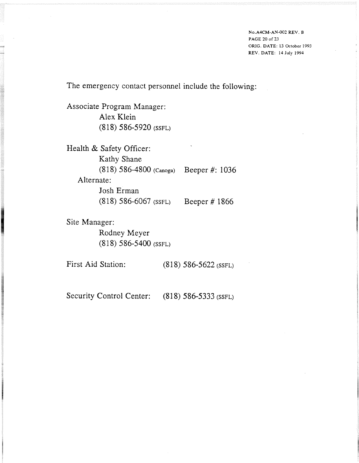**No.A4CM-AN-002 REV. B PAGE 20 of 23 ORIG. DATE: 13 October 1993 REV. DATE: 14 July** 1994

The emergency contact personnel include the following:

Associate Program Manager: Alex Klein (818) 586-5920 (SSFL)

Health & Safety Officer: Kathy Shane (81 8) 586-4800 **(Canoga)** Beeper #: 1036 Alternate: Josh Erman (8 18) 586-6067 (SSFL) Beeper # 1866

Site Manager: Rodney Meyer (8 1 8) 586-5400 (SSFL)

First Aid Station: (818) 586-5622 (SSFL)

Security Control Center: (818) 586-5333 (SSFL)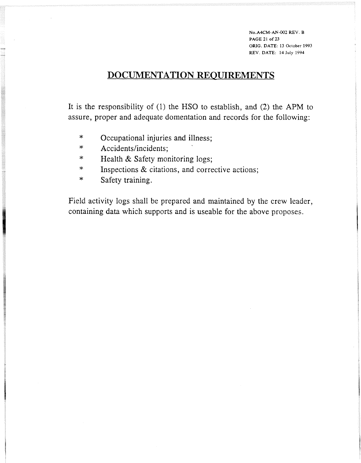**No.A4CM-AN-002 REV. B PAGE 21 of 23 ORIG. DATE: 13 October 1993**  REV. **DATE: 14 July 1994** 

## DOCUMENTATION REQUIREMENTS

It is the responsibility of (1) the HSO to establish, and (2) the APM to assure, proper and adequate domentation and records for the following:

- \* Occupational injuries and illness;
- \* Accidents/incidents;
- \* Health & Safety monitoring logs;
- \* Inspections & citations, and corrective actions;
- \* Safety training.

Field activity logs shall be prepared and maintained by the crew leader, containing data which supports and is useable for the above proposes.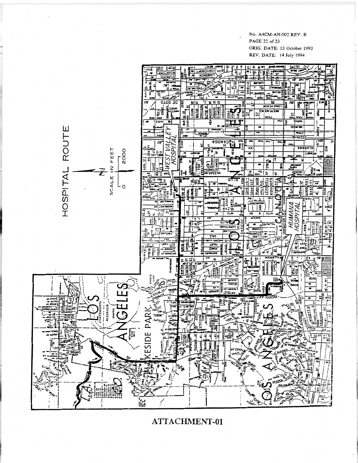#### **NO. A4CM-AN-002 REV. B PAGE 22 of** *23*  **ORIG. DATE: 13 October 1993 REV. DATE: 14 July 1994**



ATTACHMENT-01